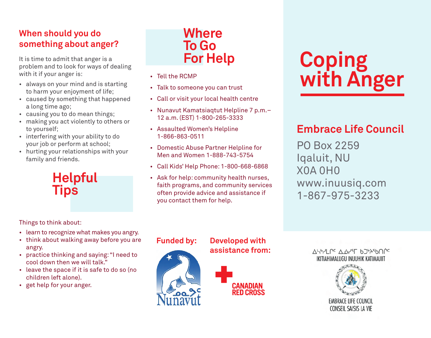## **When should you do something about anger?**

It is time to admit that anger is a problem and to look for ways of dealing with it if your anger is:

- always on your mind and is starting to harm your enjoyment of life;
- • caused by something that happened a long time ago;
- • causing you to do mean things;
- • making you act violently to others or to yourself;
- interfering with your ability to do your job or perform at school;
- hurting your relationships with your family and friends.



**Where To Go For Help**

- • Tell the RCMP
- Talk to someone you can trust
- • Call or visit your local health centre
- Nunavut Kamatsiagtut Helpline 7 p.m.-12 a.m. (EST) 1-800-265-3333
- • Assaulted Women's Helpline 1-866-863-0511
- • Domestic Abuse Partner Helpline for Men and Women 1-888-743-5754
- • Call Kids' Help Phone: 1-800-668-6868
- • Ask for help: community health nurses, faith programs, and community services often provide advice and assistance if you contact them for help.

# **Coping with Anger**

# **Embrace Life Council**

PO Box 2259 Iqaluit, NU X0A 0H0 www.inuusiq.com 1-867-975-3233

Things to think about:

- learn to recognize what makes you angry.
- think about walking away before you are angry.
- practice thinking and saying: "I need to cool down then we will talk."
- leave the space if it is safe to do so (no children left alone).
- • get help for your anger.







ASPYLP<sup>C</sup> A.O.YT bJYASDNPC IKITIAHIMALUGU INUUHIK KATIMAJIIT

> **EMBRACE LIFE COUNCIL** CONSEIL SAISIS LA VIE